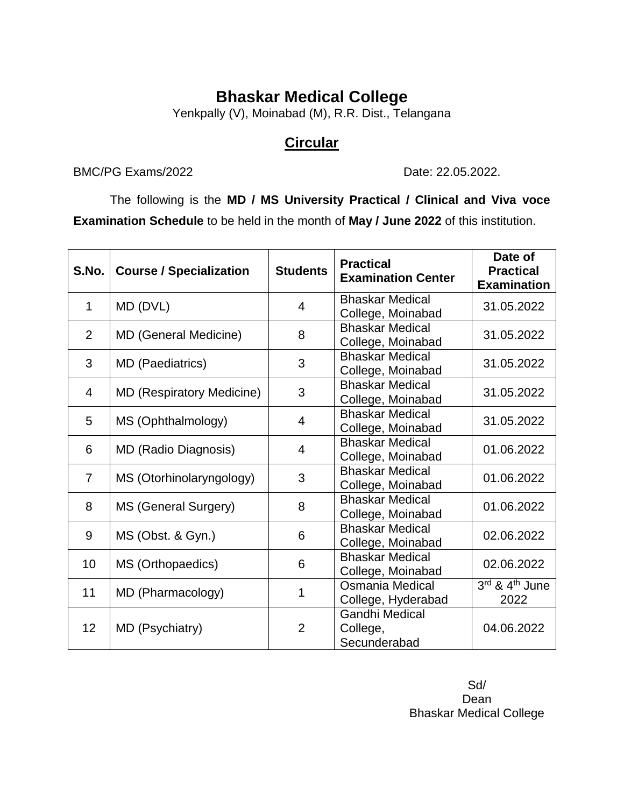## **Bhaskar Medical College**

Yenkpally (V), Moinabad (M), R.R. Dist., Telangana

### **Circular**

#### BMC/PG Exams/2022 Date: 22.05.2022.

The following is the **MD / MS University Practical / Clinical and Viva voce Examination Schedule** to be held in the month of **May / June 2022** of this institution.

| S.No.          | <b>Course / Specialization</b>   | <b>Students</b> | <b>Practical</b><br><b>Examination Center</b>     | Date of<br><b>Practical</b><br><b>Examination</b> |
|----------------|----------------------------------|-----------------|---------------------------------------------------|---------------------------------------------------|
| 1              | MD (DVL)                         | 4               | <b>Bhaskar Medical</b><br>College, Moinabad       | 31.05.2022                                        |
| $\overline{2}$ | <b>MD (General Medicine)</b>     | 8               | <b>Bhaskar Medical</b><br>College, Moinabad       | 31.05.2022                                        |
| 3              | <b>MD</b> (Paediatrics)          | 3               | <b>Bhaskar Medical</b><br>College, Moinabad       | 31.05.2022                                        |
| 4              | <b>MD (Respiratory Medicine)</b> | 3               | <b>Bhaskar Medical</b><br>College, Moinabad       | 31.05.2022                                        |
| 5              | MS (Ophthalmology)               | $\overline{4}$  | <b>Bhaskar Medical</b><br>College, Moinabad       | 31.05.2022                                        |
| 6              | <b>MD (Radio Diagnosis)</b>      | 4               | <b>Bhaskar Medical</b><br>College, Moinabad       | 01.06.2022                                        |
| $\overline{7}$ | MS (Otorhinolaryngology)         | 3               | <b>Bhaskar Medical</b><br>College, Moinabad       | 01.06.2022                                        |
| 8              | MS (General Surgery)             | 8               | <b>Bhaskar Medical</b><br>College, Moinabad       | 01.06.2022                                        |
| 9              | MS (Obst. & Gyn.)                | 6               | <b>Bhaskar Medical</b><br>College, Moinabad       | 02.06.2022                                        |
| 10             | MS (Orthopaedics)                | 6               | <b>Bhaskar Medical</b><br>College, Moinabad       | 02.06.2022                                        |
| 11             | MD (Pharmacology)                | 1               | Osmania Medical<br>College, Hyderabad             | 3rd & 4th June<br>2022                            |
| 12             | MD (Psychiatry)                  | $\overline{2}$  | <b>Gandhi Medical</b><br>College,<br>Secunderabad | 04.06.2022                                        |